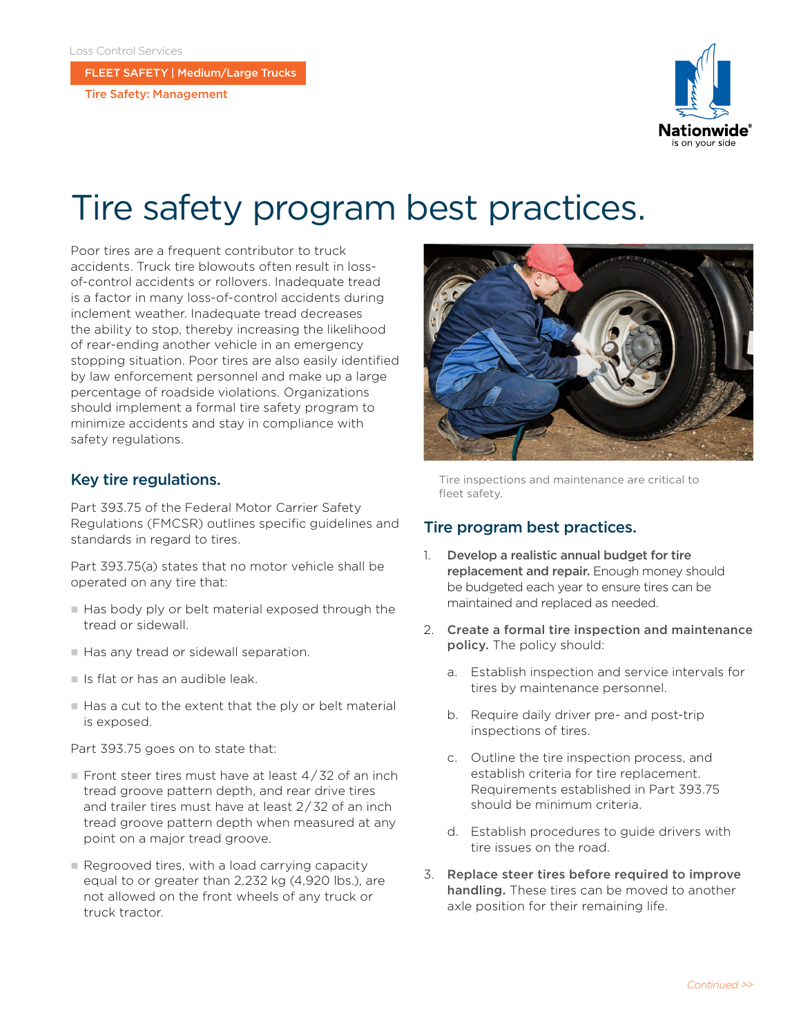FLEET SAFETY | Medium/Large Trucks

Tire Safety: Management



# Tire safety program best practices.

Poor tires are a frequent contributor to truck accidents. Truck tire blowouts often result in lossof-control accidents or rollovers. Inadequate tread is a factor in many loss-of-control accidents during inclement weather. Inadequate tread decreases the ability to stop, thereby increasing the likelihood of rear-ending another vehicle in an emergency stopping situation. Poor tires are also easily identified by law enforcement personnel and make up a large percentage of roadside violations. Organizations should implement a formal tire safety program to minimize accidents and stay in compliance with safety regulations.

## Key tire regulations.

Part 393.75 of the Federal Motor Carrier Safety Regulations (FMCSR) outlines specific guidelines and standards in regard to tires.

Part 393.75(a) states that no motor vehicle shall be operated on any tire that:

- Has body ply or belt material exposed through the tread or sidewall.
- Has any tread or sidewall separation.
- $\blacksquare$  Is flat or has an audible leak.
- Has a cut to the extent that the ply or belt material is exposed.

Part 393.75 goes on to state that:

- Front steer tires must have at least  $4/32$  of an inch tread groove pattern depth, and rear drive tires and trailer tires must have at least 2 / 32 of an inch tread groove pattern depth when measured at any point on a major tread groove.
- $\blacksquare$  Regrooved tires, with a load carrying capacity equal to or greater than 2,232 kg (4,920 lbs.), are not allowed on the front wheels of any truck or truck tractor.



Tire inspections and maintenance are critical to fleet safety.

## Tire program best practices.

- 1. Develop a realistic annual budget for tire replacement and repair. Enough money should be budgeted each year to ensure tires can be maintained and replaced as needed.
- 2. Create a formal tire inspection and maintenance policy. The policy should:
	- a. Establish inspection and service intervals for tires by maintenance personnel.
	- b. Require daily driver pre- and post-trip inspections of tires.
	- c. Outline the tire inspection process, and establish criteria for tire replacement. Requirements established in Part 393.75 should be minimum criteria.
	- d. Establish procedures to guide drivers with tire issues on the road.
- 3. Replace steer tires before required to improve handling. These tires can be moved to another axle position for their remaining life.